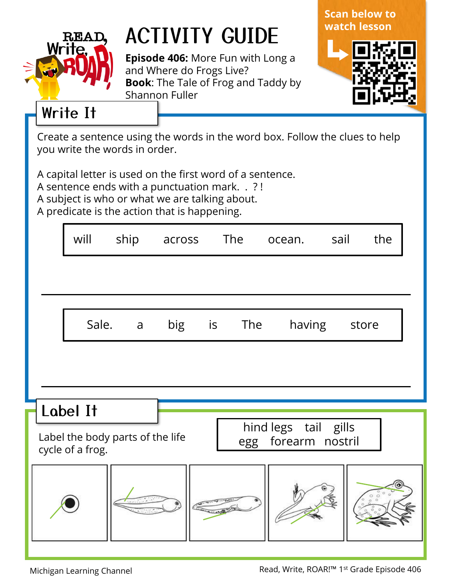

## ACTIVITY GUIDE

**Episode 406:** More Fun with Long a and Where do Frogs Live? **Book**: The Tale of Frog and Taddy by Shannon Fuller





## Write It

Create a sentence using the words in the word box. Follow the clues to help you write the words in order.

A capital letter is used on the first word of a sentence.

A sentence ends with a punctuation mark. . ? !

A subject is who or what we are talking about.

A predicate is the action that is happening.

|                                                                             |  | will     | ship           | across | The    | ocean.               | sail | the   |  |
|-----------------------------------------------------------------------------|--|----------|----------------|--------|--------|----------------------|------|-------|--|
|                                                                             |  |          |                |        |        |                      |      |       |  |
|                                                                             |  | Sale.    | $\overline{a}$ | big    | is The | having               |      | store |  |
|                                                                             |  |          |                |        |        |                      |      |       |  |
|                                                                             |  | Label It |                |        |        | hind legs tail gills |      |       |  |
| Label the body parts of the life<br>egg forearm nostril<br>cycle of a frog. |  |          |                |        |        |                      |      |       |  |
|                                                                             |  |          |                |        |        |                      |      |       |  |